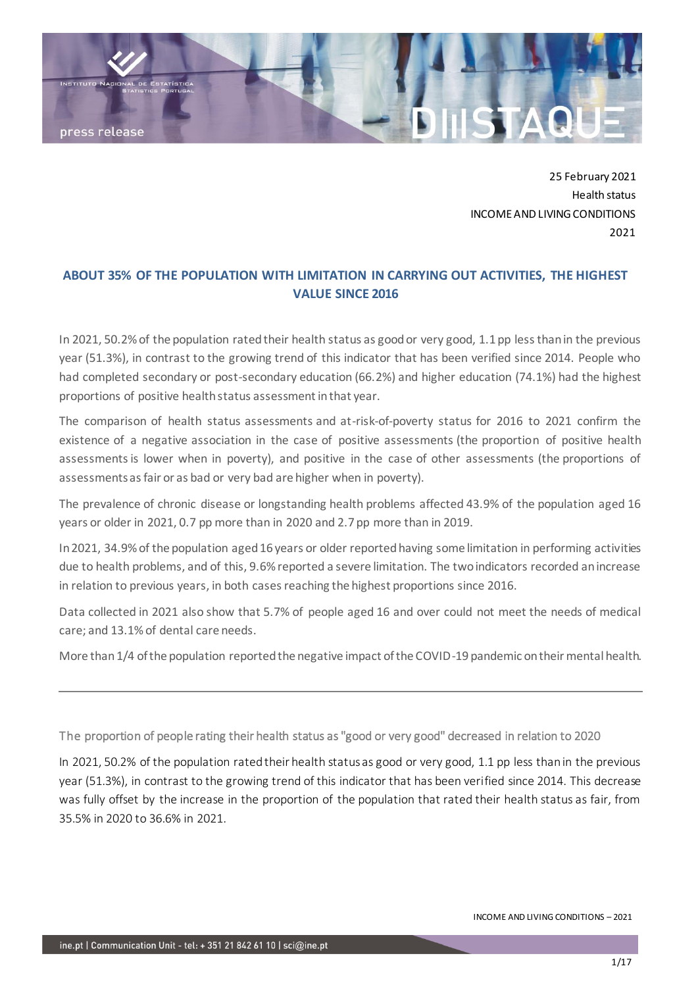

25 February 2021 Health status INCOME AND LIVING CONDITIONS 2021

# **ABOUT 35% OF THE POPULATION WITH LIMITATION IN CARRYING OUT ACTIVITIES, THE HIGHEST VALUE SINCE 2016**

In 2021, 50.2% of the population rated their health status as good or very good, 1.1 pp less than in the previous year (51.3%), in contrast to the growing trend of this indicator that has been verified since 2014. People who had completed secondary or post-secondary education (66.2%) and higher education (74.1%) had the highest proportions of positive health status assessment in that year.

The comparison of health status assessments and at-risk-of-poverty status for 2016 to 2021 confirm the existence of a negative association in the case of positive assessments (the proportion of positive health assessments is lower when in poverty), and positive in the case of other assessments (the proportions of assessments as fair or as bad or very bad are higher when in poverty).

The prevalence of chronic disease or longstanding health problems affected 43.9% of the population aged 16 years or older in 2021, 0.7 pp more than in 2020 and 2.7 pp more than in 2019.

In 2021, 34.9% of the population aged 16 years or older reported having some limitation in performing activities due to health problems, and of this, 9.6% reported a severe limitation. The two indicators recorded an increase in relation to previous years, in both cases reaching the highest proportions since 2016.

Data collected in 2021 also show that 5.7% of people aged 16 and over could not meet the needs of medical care; and 13.1% of dental care needs.

More than 1/4 of the population reported the negative impact of the COVID-19 pandemic on their mental health.

The proportion of people rating their health status as "good or very good" decreased in relation to 2020

In 2021, 50.2% of the population rated their health status as good or very good, 1.1 pp less than in the previous year (51.3%), in contrast to the growing trend of this indicator that has been verified since 2014. This decrease was fully offset by the increase in the proportion of the population that rated their health status as fair, from 35.5% in 2020 to 36.6% in 2021.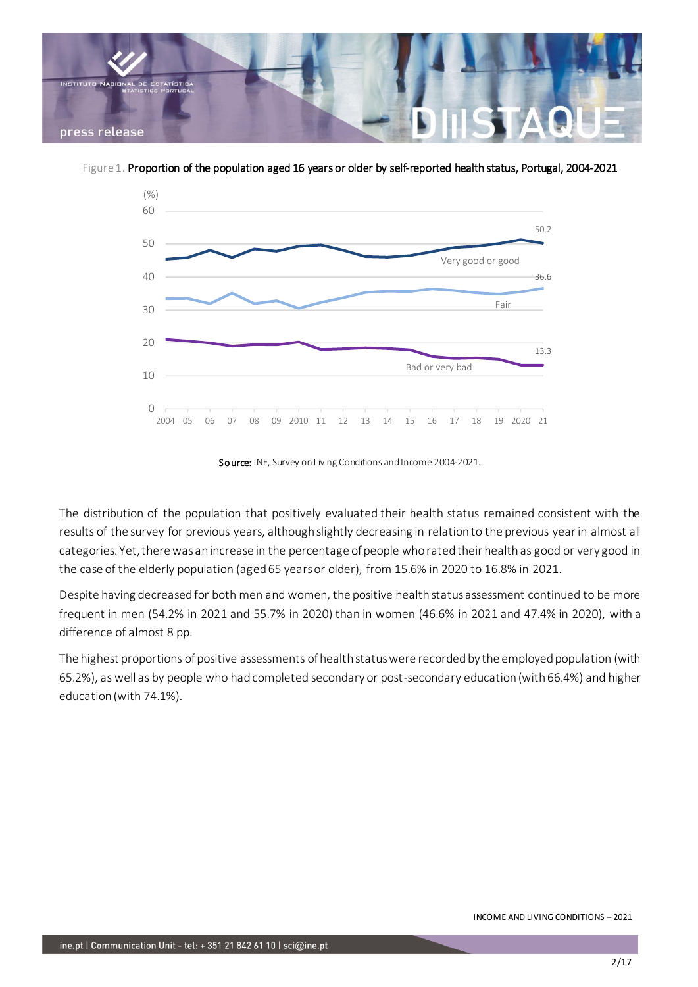

Figure 1. Proportion of the population aged 16 years or older by self-reported health status, Portugal, 2004-2021



Source: INE, Survey on Living Conditions and Income 2004-2021.

The distribution of the population that positively evaluated their health status remained consistent with the results of the survey for previous years, although slightly decreasing in relation to the previous year in almost all categories. Yet, there was an increase in the percentage of people who rated their health as good or very good in the case of the elderly population (aged 65 years or older), from 15.6% in 2020 to 16.8% in 2021.

Despite having decreased for both men and women, the positive health status assessment continued to be more frequent in men (54.2% in 2021 and 55.7% in 2020) than in women (46.6% in 2021 and 47.4% in 2020), with a difference of almost 8 pp.

The highest proportions of positive assessments of health status were recorded by the employed population (with 65.2%), as well as by people who had completed secondary or post-secondary education (with 66.4%) and higher education (with 74.1%).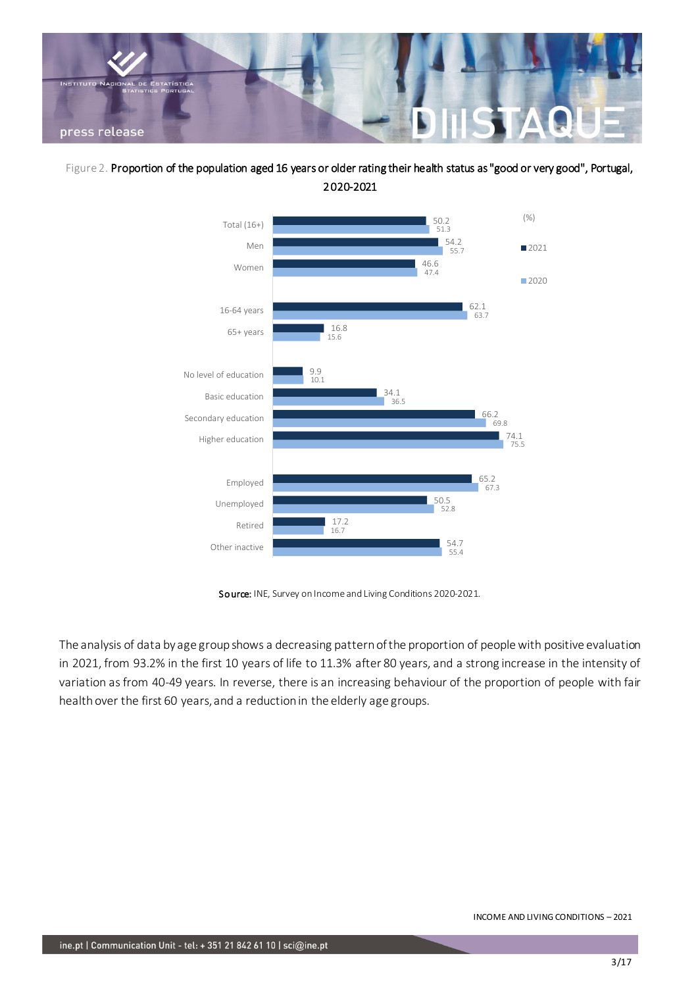

Figure 2. Proportion of the population aged 16 years or older rating their health status as "good or very good", Portugal, 2020-2021



Source: INE, Survey on Income and Living Conditions 2020-2021.

The analysis of data by age group shows a decreasing pattern of the proportion of people with positive evaluation in 2021, from 93.2% in the first 10 years of life to 11.3% after 80 years, and a strong increase in the intensity of variation as from 40-49 years. In reverse, there is an increasing behaviour of the proportion of people with fair health over the first 60 years, and a reduction in the elderly age groups.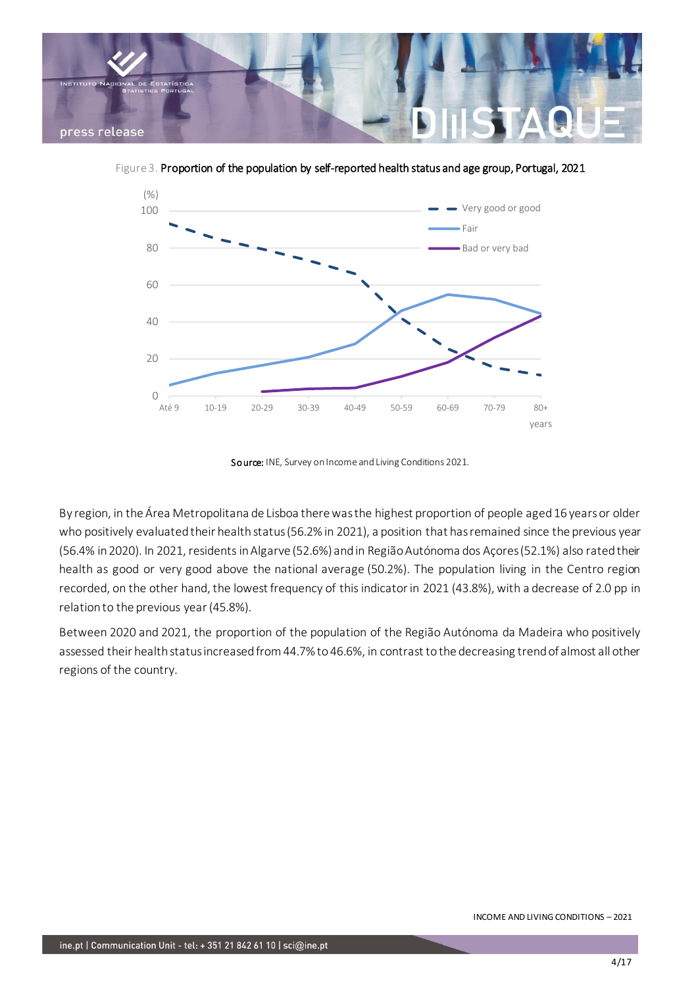

Figure 3. Proportion of the population by self-reported health status and age group, Portugal, 2021



Source: INE, Survey on Income and Living Conditions 2021.

By region, in the Área Metropolitana de Lisboa there was the highest proportion of people aged 16 years or older who positively evaluated their health status (56.2% in 2021), a position that has remained since the previous year (56.4% in 2020). In 2021, residents in Algarve (52.6%) and in Região Autónoma dos Açores (52.1%) also rated their health as good or very good above the national average (50.2%). The population living in the Centro region recorded, on the other hand, the lowest frequency of this indicator in 2021 (43.8%), with a decrease of 2.0 pp in relation to the previous year (45.8%).

Between 2020 and 2021, the proportion of the population of the Região Autónoma da Madeira who positively assessed their health status increased from 44.7% to 46.6%, in contrast to the decreasing trend of almost all other regions of the country.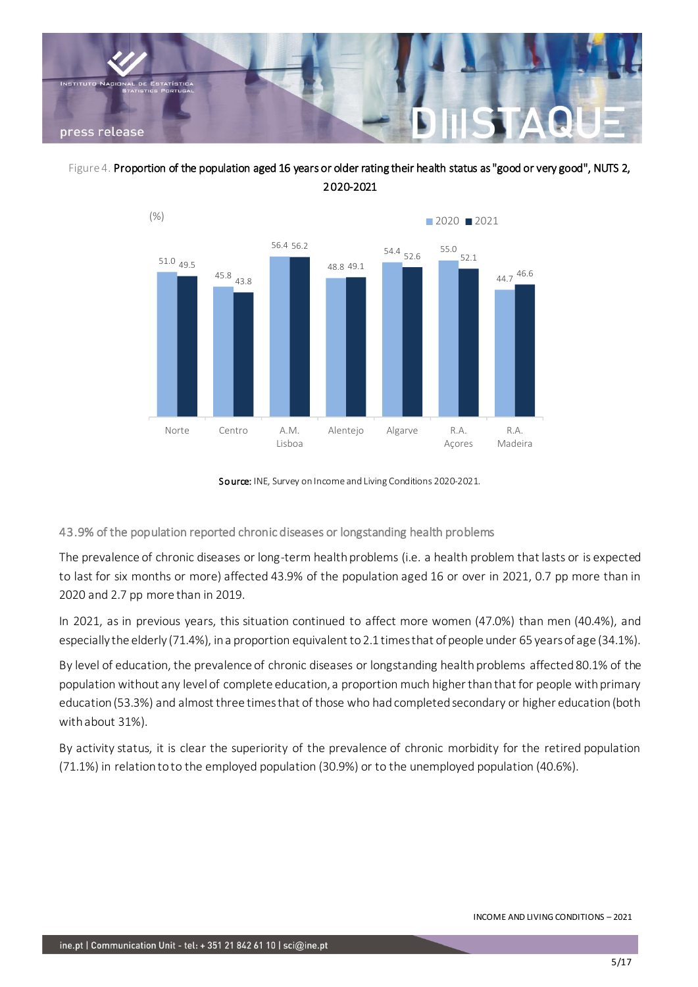





Source: INE, Survey on Income and Living Conditions 2020-2021.

43.9% of the population reported chronic diseases or longstanding health problems

The prevalence of chronic diseases or long-term health problems (i.e. a health problem that lasts or is expected to last for six months or more) affected 43.9% of the population aged 16 or over in 2021, 0.7 pp more than in 2020 and 2.7 pp more than in 2019.

In 2021, as in previous years, this situation continued to affect more women (47.0%) than men (40.4%), and especially the elderly (71.4%), in a proportion equivalent to 2.1 times that of people under 65 years of age (34.1%).

By level of education, the prevalence of chronic diseases or longstanding health problems affected 80.1% of the population without any level of complete education, a proportion much higher than that for people with primary education (53.3%) and almost three times that of those who had completed secondary or higher education (both with about 31%).

By activity status, it is clear the superiority of the prevalence of chronic morbidity for the retired population (71.1%) in relation to to the employed population (30.9%) or to the unemployed population (40.6%).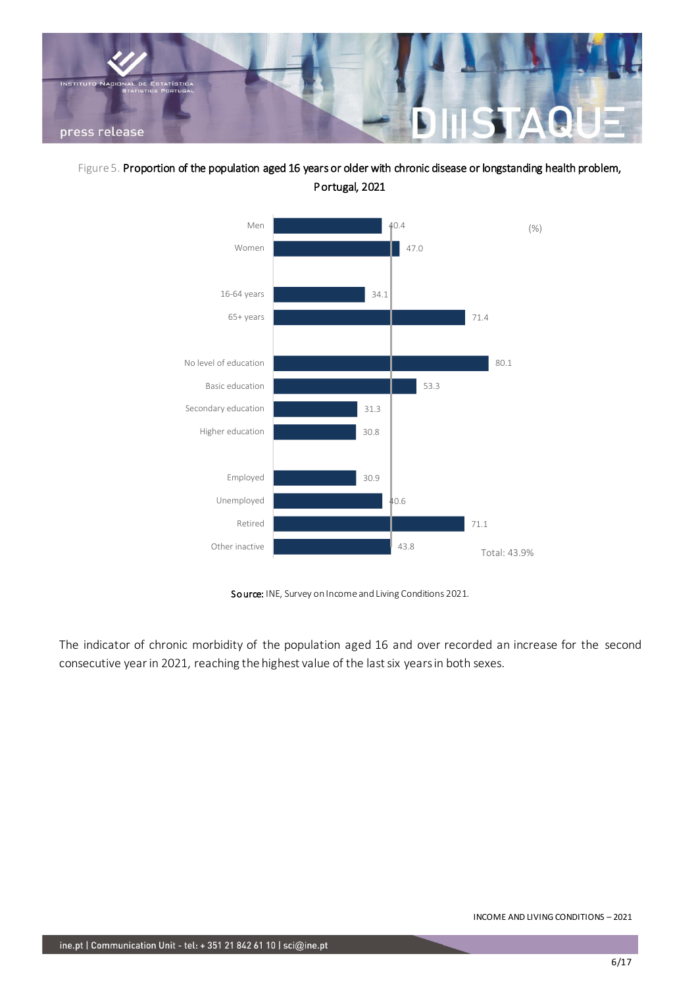

Figure 5. Proportion of the population aged 16 years or older with chronic disease or longstanding health problem, Portugal, 2021



Source: INE, Survey on Income and Living Conditions 2021.

The indicator of chronic morbidity of the population aged 16 and over recorded an increase for the second consecutive year in 2021, reaching the highest value of the last six years in both sexes.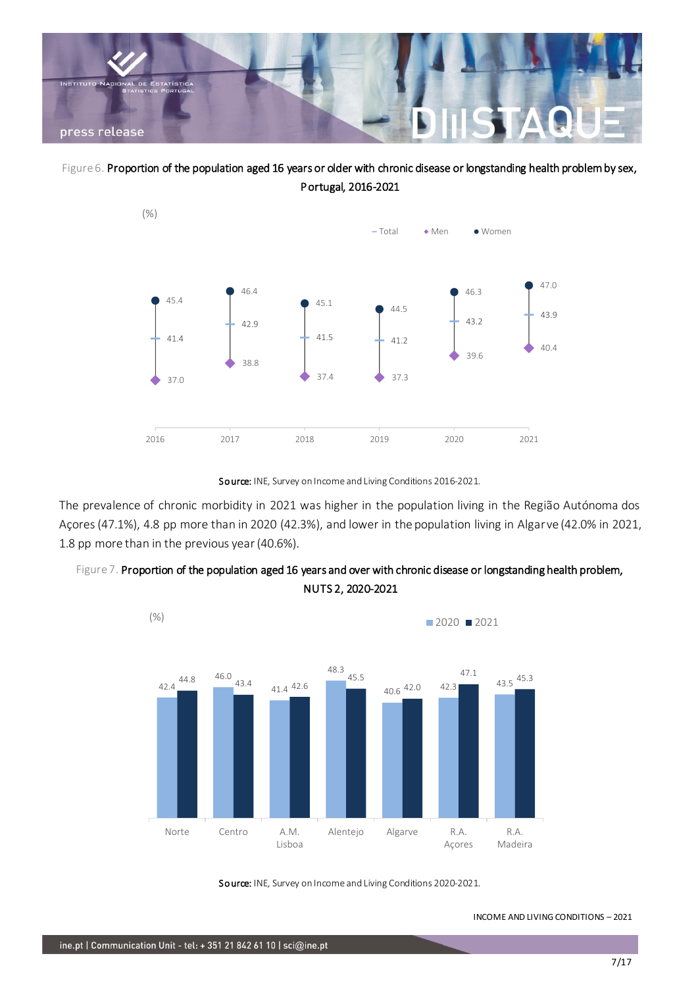

Figure 6. Proportion of the population aged 16 years or older with chronic disease or longstanding health problem by sex, Portugal, 2016-2021



Source: INE, Survey on Income and Living Conditions 2016-2021.

The prevalence of chronic morbidity in 2021 was higher in the population living in the Região Autónoma dos Açores (47.1%), 4.8 pp more than in 2020 (42.3%), and lower in the population living in Algarve (42.0% in 2021, 1.8 pp more than in the previous year (40.6%).





Source: INE, Survey on Income and Living Conditions 2020-2021.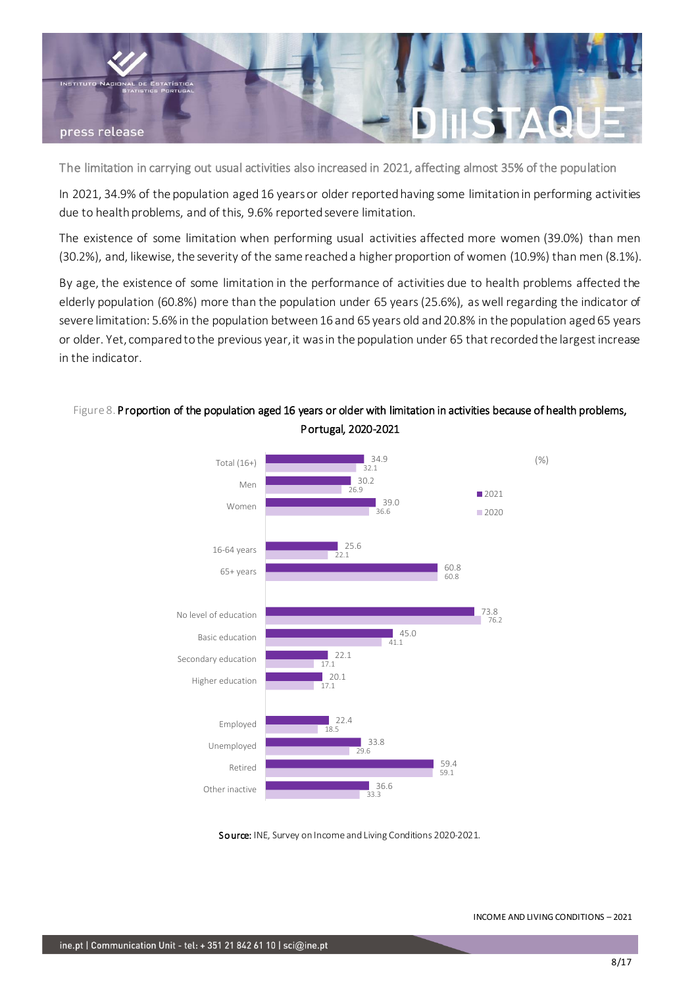

The limitation in carrying out usual activities also increased in 2021, affecting almost 35% of the population

In 2021, 34.9% of the population aged 16 years or older reported having some limitation in performing activities due to health problems, and of this, 9.6% reported severe limitation.

The existence of some limitation when performing usual activities affected more women (39.0%) than men (30.2%), and, likewise, the severity of the same reached a higher proportion of women (10.9%) than men (8.1%).

By age, the existence of some limitation in the performance of activities due to health problems affected the elderly population (60.8%) more than the population under 65 years (25.6%), as well regarding the indicator of severe limitation: 5.6% in the population between 16 and 65 years old and 20.8% in the population aged 65 years or older. Yet, compared to the previous year, it was in the population under 65 that recorded the largest increase in the indicator.



### Figure 8. Proportion of the population aged 16 years or older with limitation in activities because of health problems, Portugal, 2020-2021

Source: INE, Survey on Income and Living Conditions 2020-2021.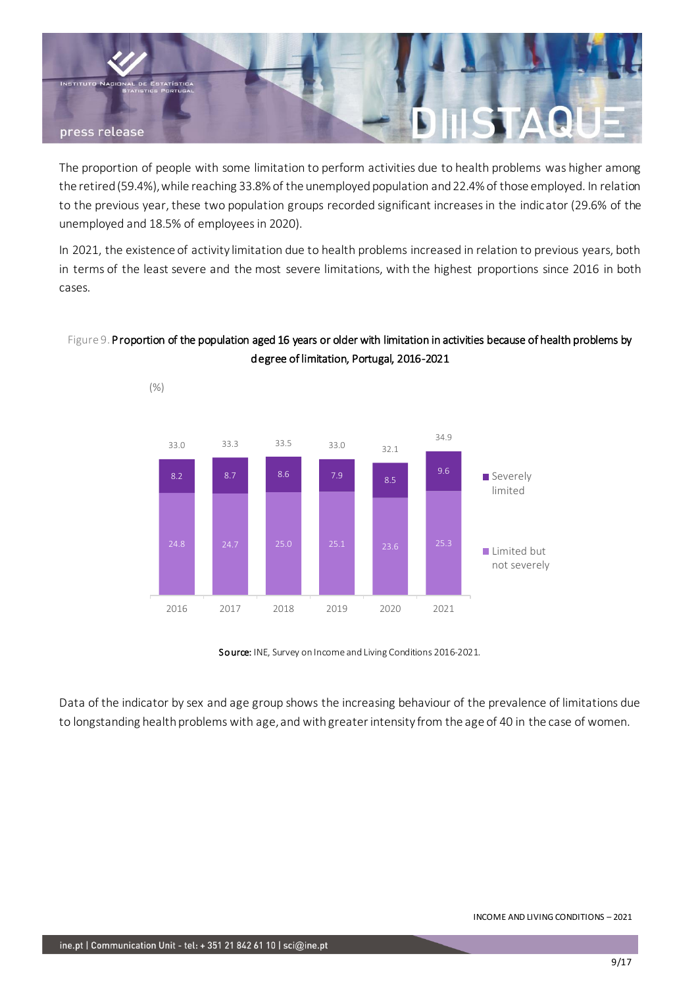

The proportion of people with some limitation to perform activities due to health problems was higher among the retired (59.4%), while reaching 33.8% of the unemployed population and 22.4% of those employed. In relation to the previous year, these two population groups recorded significant increases in the indicator (29.6% of the unemployed and 18.5% of employees in 2020).

In 2021, the existence of activity limitation due to health problems increased in relation to previous years, both in terms of the least severe and the most severe limitations, with the highest proportions since 2016 in both cases.

## Figure 9. Proportion of the population aged 16 years or older with limitation in activities because of health problems by degree of limitation, Portugal, 2016-2021



Source: INE, Survey on Income and Living Conditions 2016-2021.

Data of the indicator by sex and age group shows the increasing behaviour of the prevalence of limitations due to longstanding health problems with age, and with greater intensity from the age of 40 in the case of women.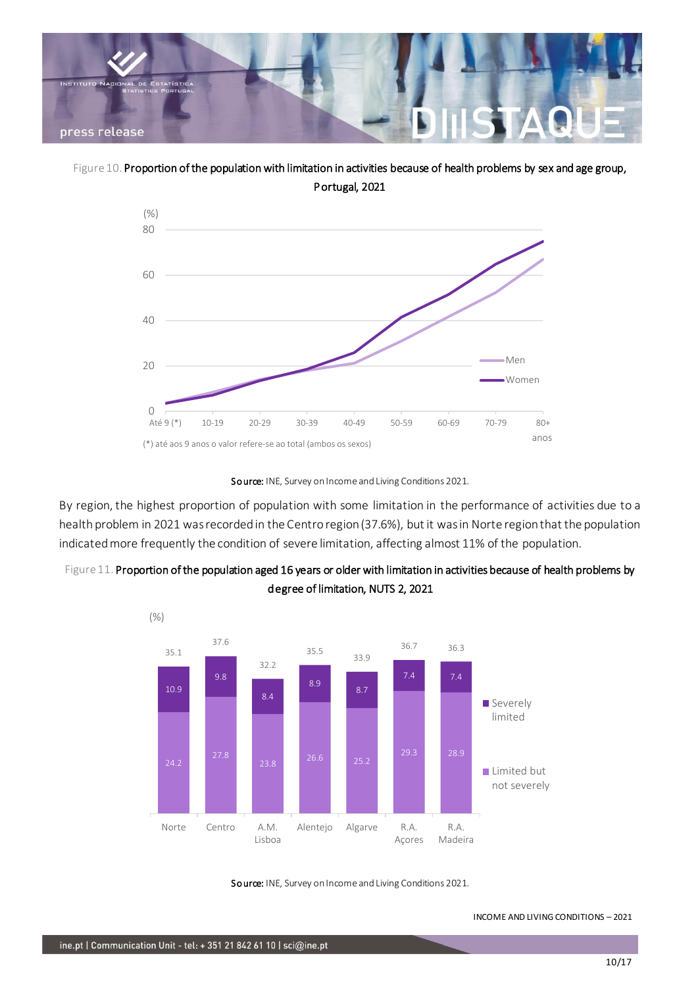

Figure 10. Proportion of the population with limitation in activities because of health problems by sex and age group, Portugal, 2021





By region, the highest proportion of population with some limitation in the performance of activities due to a health problem in 2021 was recorded in the Centro region (37.6%), but it was in Norte region that the population indicated more frequently the condition of severe limitation, affecting almost 11% of the population.





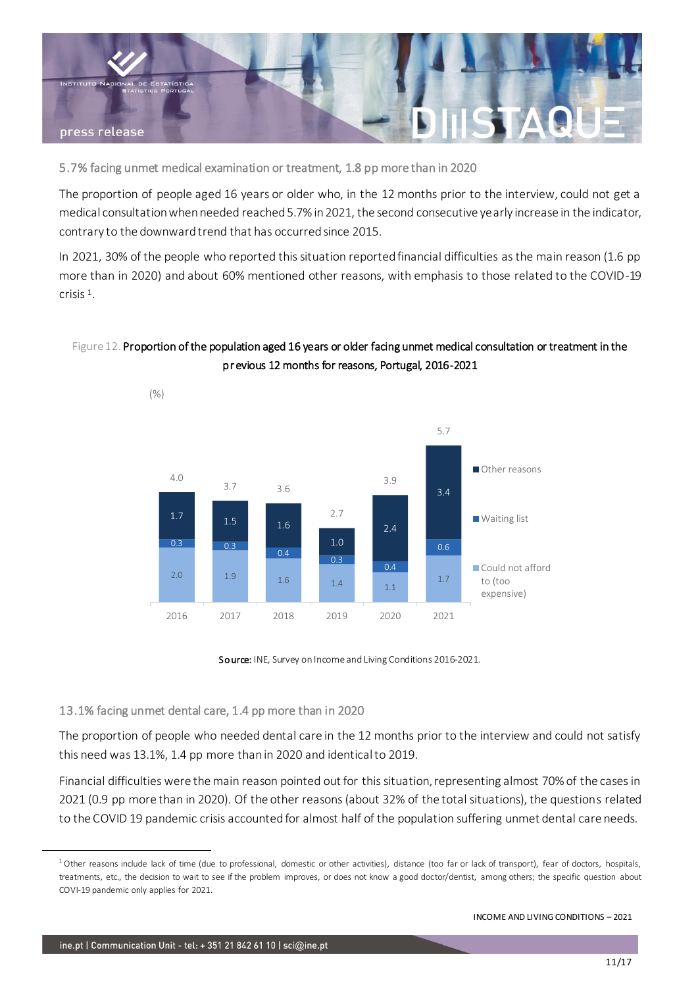

5.7% facing unmet medical examination or treatment, 1.8 pp more than in 2020

The proportion of people aged 16 years or older who, in the 12 months prior to the interview, could not get a medical consultation when needed reached 5.7% in 2021, the second consecutive yearly increase in the indicator, contrary to the downward trend that has occurred since 2015.

In 2021, 30% of the people who reported this situation reported financial difficulties as the main reason (1.6 pp more than in 2020) and about 60% mentioned other reasons, with emphasis to those related to the COVID-19 crisis <sup>1</sup> .

### Figure 12. Proportion of the population aged 16 years or older facing unmet medical consultation or treatment in the pr evious 12 months for reasons, Portugal, 2016-2021





#### 13.1% facing unmet dental care, 1.4 pp more than in 2020

The proportion of people who needed dental care in the 12 months prior to the interview and could not satisfy this need was 13.1%, 1.4 pp more than in 2020 and identical to 2019.

Financial difficulties were the main reason pointed out for this situation, representing almost 70% of the cases in 2021 (0.9 pp more than in 2020). Of the other reasons (about 32% of the total situations), the questions related to the COVID 19 pandemic crisis accounted for almost half of the population suffering unmet dental care needs.

<sup>&</sup>lt;sup>1</sup> Other reasons include lack of time (due to professional, domestic or other activities), distance (too far or lack of transport), fear of doctors, hospitals, treatments, etc., the decision to wait to see if the problem improves, or does not know a good doctor/dentist, among others; the specific question about COVI-19 pandemic only applies for 2021.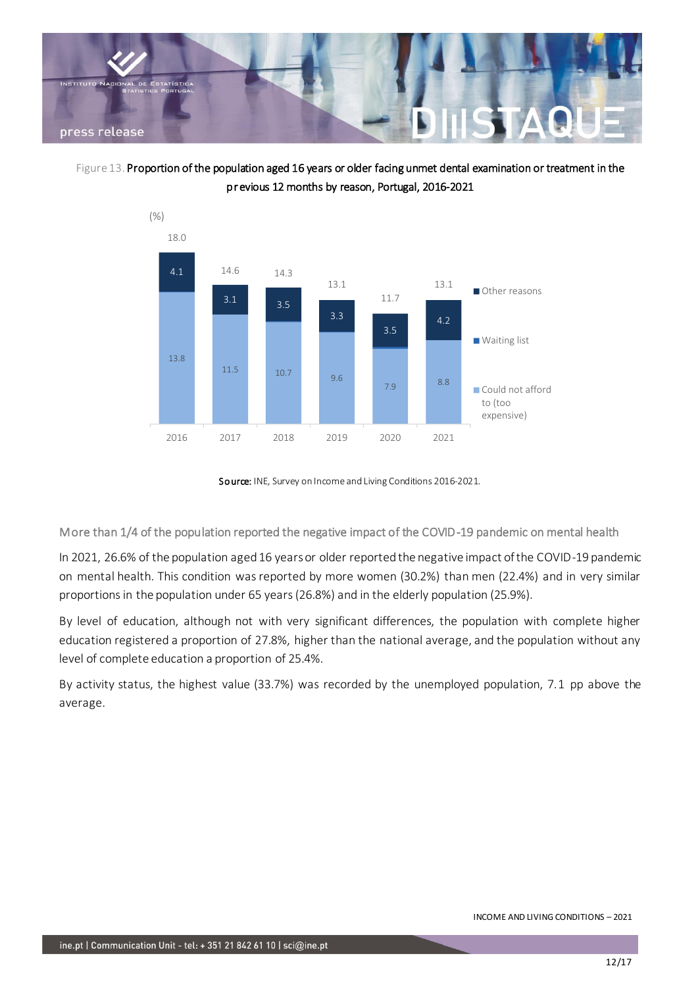





Source: INE, Survey on Income and Living Conditions 2016-2021.

More than 1/4 of the population reported the negative impact of the COVID-19 pandemic on mental health

In 2021, 26.6% of the population aged 16 years or older reported the negative impact of the COVID-19 pandemic on mental health. This condition was reported by more women (30.2%) than men (22.4%) and in very similar proportions in the population under 65 years (26.8%) and in the elderly population (25.9%).

By level of education, although not with very significant differences, the population with complete higher education registered a proportion of 27.8%, higher than the national average, and the population without any level of complete education a proportion of 25.4%.

By activity status, the highest value (33.7%) was recorded by the unemployed population, 7.1 pp above the average.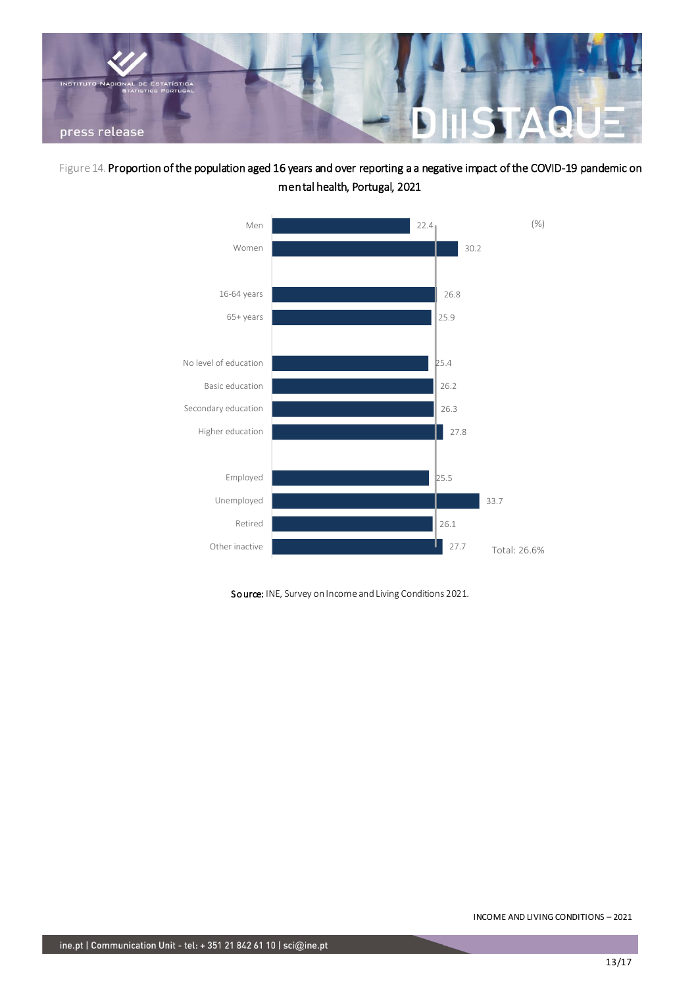

Figure 14. Proportion of the population aged 16 years and over reporting a a negative impact of the COVID-19 pandemic on mental health, Portugal, 2021



Source: INE, Survey on Income and Living Conditions 2021.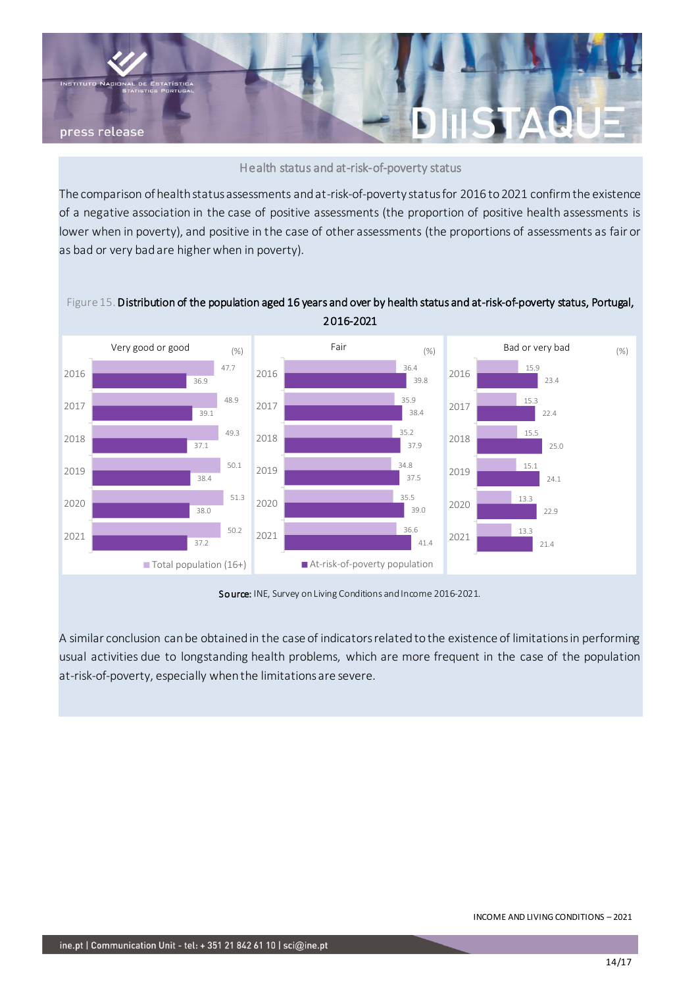

Health status and at-risk-of-poverty status

The comparison of health status assessments and at-risk-of-poverty status for 2016 to 2021 confirm the existence of a negative association in the case of positive assessments (the proportion of positive health assessments is lower when in poverty), and positive in the case of other assessments (the proportions of assessments as fair or as bad or very bad are higher when in poverty).



Source: INE, Survey on Living Conditions and Income 2016-2021.

A similar conclusion can be obtained in the case of indicators related to the existence of limitations in performing usual activities due to longstanding health problems, which are more frequent in the case of the population at-risk-of-poverty, especially when the limitations are severe.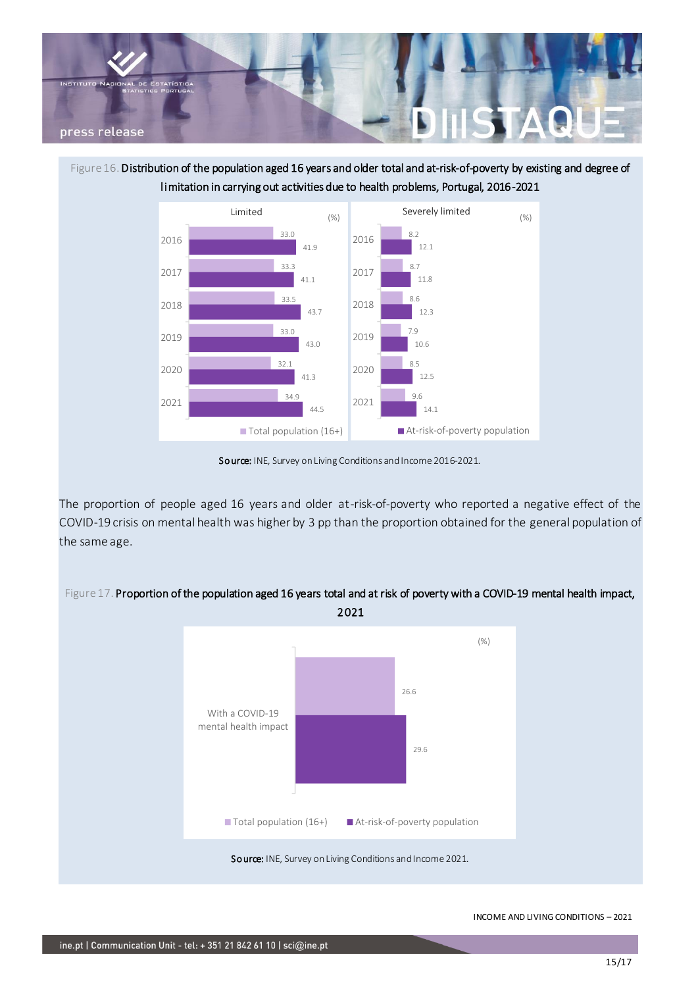

Figure 16. Distribution of the population aged 16 years and older total and at-risk-of-poverty by existing and degree of limitation in carrying out activities due to health problems, Portugal, 2016-2021



Source: INE, Survey on Living Conditions and Income 2016-2021.

The proportion of people aged 16 years and older at-risk-of-poverty who reported a negative effect of the COVID-19 crisis on mental health was higher by 3 pp than the proportion obtained for the general population of the same age.



Figure 17. Proportion of the population aged 16 years total and at risk of poverty with a COVID-19 mental health impact,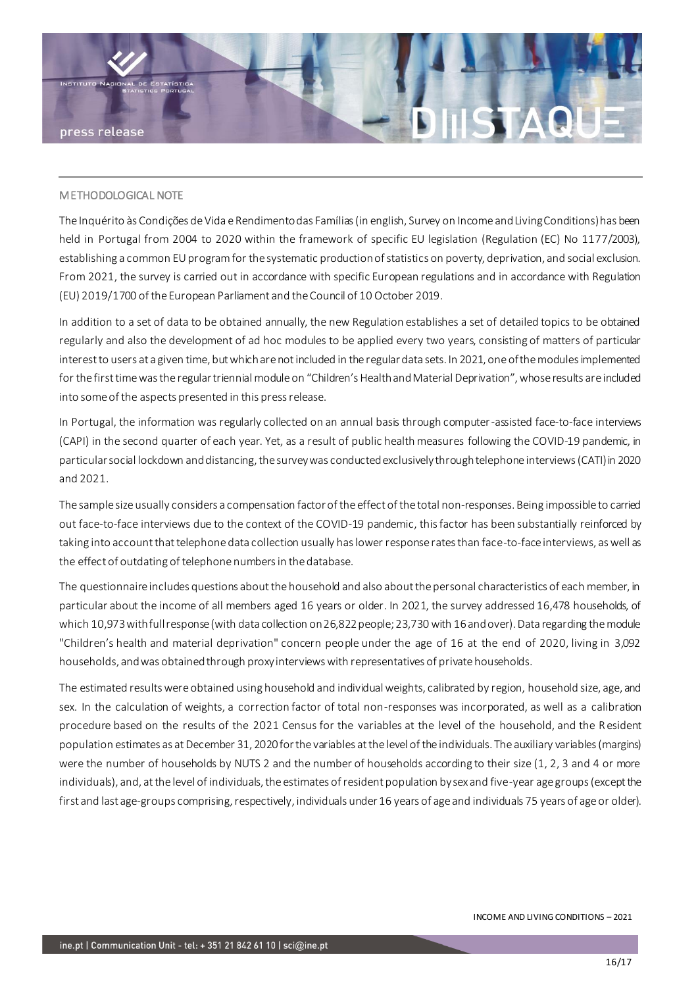

#### METHODOLOGICAL NOTE

The Inquérito às Condições de Vida e Rendimento das Famílias (in english, Survey on Income and Living Conditions) has been held in Portugal from 2004 to 2020 within the framework of specific EU legislation (Regulation (EC) No 1177/2003), establishing a common EU program for the systematic production of statistics on poverty, deprivation, and social exclusion. From 2021, the survey is carried out in accordance with specific European regulations and in accordance with Regulation (EU) 2019/1700 of the European Parliament and the Council of 10 October 2019.

In addition to a set of data to be obtained annually, the new Regulation establishes a set of detailed topics to be obtained regularly and also the development of ad hoc modules to be applied every two years, consisting of matters of particular interest to users at a given time, but which are not included in the regular data sets. In 2021, one of the modules implemented for the first time was the regular triennial module on "Children's Health and Material Deprivation", whose results are included into some of the aspects presented in this press release.

In Portugal, the information was regularly collected on an annual basis through computer-assisted face-to-face interviews (CAPI) in the second quarter of each year. Yet, as a result of public health measures following the COVID-19 pandemic, in particular social lockdown and distancing, the survey was conducted exclusively through telephone interviews (CATI) in 2020 and 2021.

The sample size usually considers a compensation factor of the effect of the total non-responses. Being impossible to carried out face-to-face interviews due to the context of the COVID-19 pandemic, this factor has been substantially reinforced by taking into account that telephone data collection usually has lower response rates than face-to-face interviews, as well as the effect of outdating of telephone numbers in the database.

The questionnaire includes questions about the household and also about the personal characteristics of each member, in particular about the income of all members aged 16 years or older. In 2021, the survey addressed 16,478 households, of which 10,973 with full response (with data collection on 26,822 people; 23,730 with 16 and over). Data regarding the module "Children's health and material deprivation" concern people under the age of 16 at the end of 2020, living in 3,092 households, and was obtained through proxy interviews with representatives of private households.

The estimated results were obtained using household and individual weights, calibrated by region, household size, age, and sex. In the calculation of weights, a correction factor of total non-responses was incorporated, as well as a calibration procedure based on the results of the 2021 Census for the variables at the level of the household, and the Resident population estimates as at December 31, 2020 for the variables at the level of the individuals. The auxiliary variables (margins) were the number of households by NUTS 2 and the number of households according to their size (1, 2, 3 and 4 or more individuals), and, at the level of individuals, the estimates of resident population by sex and five-year age groups (except the first and last age-groups comprising, respectively, individuals under 16 years of age and individuals 75 years of age or older).